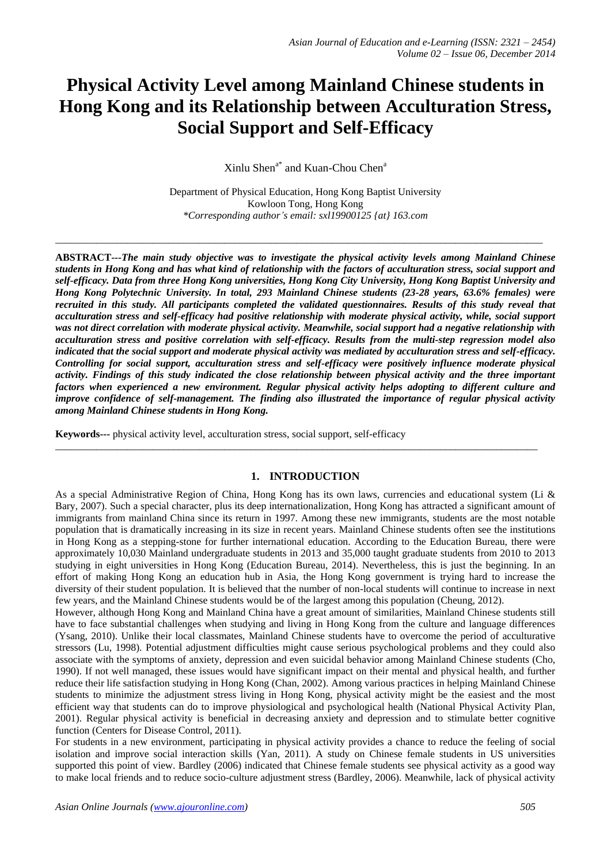# **Physical Activity Level among Mainland Chinese students in Hong Kong and its Relationship between Acculturation Stress, Social Support and Self-Efficacy**

 $X$ inlu Shen<sup>a\*</sup> and Kuan-Chou Chen<sup>a</sup>

Department of Physical Education, Hong Kong Baptist University Kowloon Tong, Hong Kong *\*Corresponding author's email: sxl19900125 {at} 163.com*

\_\_\_\_\_\_\_\_\_\_\_\_\_\_\_\_\_\_\_\_\_\_\_\_\_\_\_\_\_\_\_\_\_\_\_\_\_\_\_\_\_\_\_\_\_\_\_\_\_\_\_\_\_\_\_\_\_\_\_\_\_\_\_\_\_\_\_\_\_\_\_\_\_\_\_\_\_\_\_\_\_\_\_\_\_\_\_\_\_\_\_\_\_\_\_

**ABSTRACT---***The main study objective was to investigate the physical activity levels among Mainland Chinese students in Hong Kong and has what kind of relationship with the factors of acculturation stress, social support and self-efficacy. Data from three Hong Kong universities, Hong Kong City University, Hong Kong Baptist University and Hong Kong Polytechnic University. In total, 293 Mainland Chinese students (23-28 years, 63.6% females) were recruited in this study. All participants completed the validated questionnaires. Results of this study reveal that acculturation stress and self-efficacy had positive relationship with moderate physical activity, while, social support was not direct correlation with moderate physical activity. Meanwhile, social support had a negative relationship with acculturation stress and positive correlation with self-efficacy. Results from the multi-step regression model also indicated that the social support and moderate physical activity was mediated by acculturation stress and self-efficacy. Controlling for social support, acculturation stress and self-efficacy were positively influence moderate physical activity. Findings of this study indicated the close relationship between physical activity and the three important factors when experienced a new environment. Regular physical activity helps adopting to different culture and improve confidence of self-management. The finding also illustrated the importance of regular physical activity among Mainland Chinese students in Hong Kong.*

**Keywords---** physical activity level, acculturation stress, social support, self-efficacy

# **1. INTRODUCTION**

\_\_\_\_\_\_\_\_\_\_\_\_\_\_\_\_\_\_\_\_\_\_\_\_\_\_\_\_\_\_\_\_\_\_\_\_\_\_\_\_\_\_\_\_\_\_\_\_\_\_\_\_\_\_\_\_\_\_\_\_\_\_\_\_\_\_\_\_\_\_\_\_\_\_\_\_\_\_\_\_\_\_\_\_\_\_\_\_\_\_\_\_\_\_

As a special Administrative Region of China, Hong Kong has its own laws, currencies and educational system (Li & Bary, 2007). Such a special character, plus its deep internationalization, Hong Kong has attracted a significant amount of immigrants from mainland China since its return in 1997. Among these new immigrants, students are the most notable population that is dramatically increasing in its size in recent years. Mainland Chinese students often see the institutions in Hong Kong as a stepping-stone for further international education. According to the Education Bureau, there were approximately 10,030 Mainland undergraduate students in 2013 and 35,000 taught graduate students from 2010 to 2013 studying in eight universities in Hong Kong (Education Bureau, 2014). Nevertheless, this is just the beginning. In an effort of making Hong Kong an education hub in Asia, the Hong Kong government is trying hard to increase the diversity of their student population. It is believed that the number of non-local students will continue to increase in next few years, and the Mainland Chinese students would be of the largest among this population (Cheung, 2012).

However, although Hong Kong and Mainland China have a great amount of similarities, Mainland Chinese students still have to face substantial challenges when studying and living in Hong Kong from the culture and language differences (Ysang, 2010). Unlike their local classmates, Mainland Chinese students have to overcome the period of acculturative stressors (Lu, 1998). Potential adjustment difficulties might cause serious psychological problems and they could also associate with the symptoms of anxiety, depression and even suicidal behavior among Mainland Chinese students (Cho, 1990). If not well managed, these issues would have significant impact on their mental and physical health, and further reduce their life satisfaction studying in Hong Kong (Chan, 2002). Among various practices in helping Mainland Chinese students to minimize the adjustment stress living in Hong Kong, physical activity might be the easiest and the most efficient way that students can do to improve physiological and psychological health (National Physical Activity Plan, 2001). Regular physical activity is beneficial in decreasing anxiety and depression and to stimulate better cognitive function (Centers for Disease Control, 2011).

For students in a new environment, participating in physical activity provides a chance to reduce the feeling of social isolation and improve social interaction skills (Yan, 2011). A study on Chinese female students in US universities supported this point of view. Bardley (2006) indicated that Chinese female students see physical activity as a good way to make local friends and to reduce socio-culture adjustment stress (Bardley, 2006). Meanwhile, lack of physical activity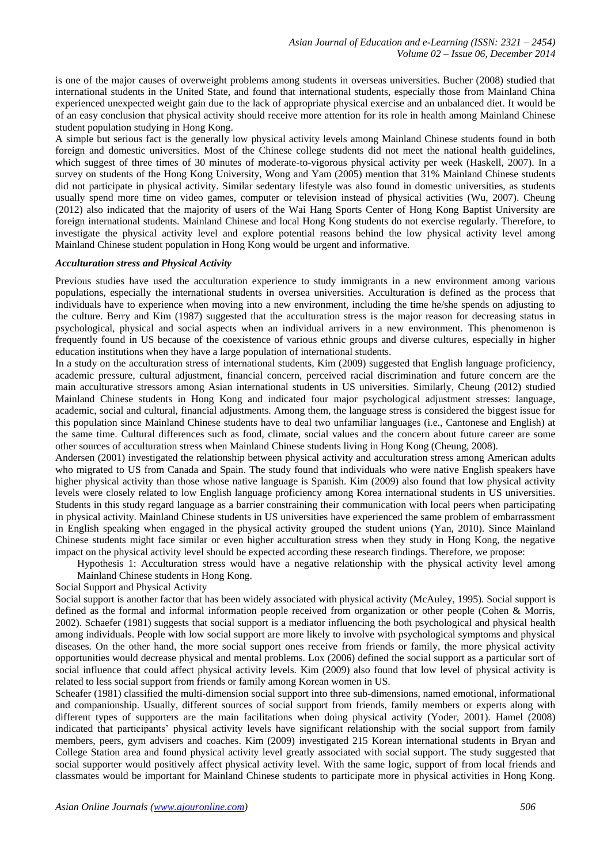is one of the major causes of overweight problems among students in overseas universities. Bucher (2008) studied that international students in the United State, and found that international students, especially those from Mainland China experienced unexpected weight gain due to the lack of appropriate physical exercise and an unbalanced diet. It would be of an easy conclusion that physical activity should receive more attention for its role in health among Mainland Chinese student population studying in Hong Kong.

A simple but serious fact is the generally low physical activity levels among Mainland Chinese students found in both foreign and domestic universities. Most of the Chinese college students did not meet the national health guidelines, which suggest of three times of 30 minutes of moderate-to-vigorous physical activity per week (Haskell, 2007). In a survey on students of the Hong Kong University, Wong and Yam (2005) mention that 31% Mainland Chinese students did not participate in physical activity. Similar sedentary lifestyle was also found in domestic universities, as students usually spend more time on video games, computer or television instead of physical activities (Wu, 2007). Cheung (2012) also indicated that the majority of users of the Wai Hang Sports Center of Hong Kong Baptist University are foreign international students. Mainland Chinese and local Hong Kong students do not exercise regularly. Therefore, to investigate the physical activity level and explore potential reasons behind the low physical activity level among Mainland Chinese student population in Hong Kong would be urgent and informative.

## *Acculturation stress and Physical Activity*

Previous studies have used the acculturation experience to study immigrants in a new environment among various populations, especially the international students in oversea universities. Acculturation is defined as the process that individuals have to experience when moving into a new environment, including the time he/she spends on adjusting to the culture. Berry and Kim (1987) suggested that the acculturation stress is the major reason for decreasing status in psychological, physical and social aspects when an individual arrivers in a new environment. This phenomenon is frequently found in US because of the coexistence of various ethnic groups and diverse cultures, especially in higher education institutions when they have a large population of international students.

In a study on the acculturation stress of international students, Kim (2009) suggested that English language proficiency, academic pressure, cultural adjustment, financial concern, perceived racial discrimination and future concern are the main acculturative stressors among Asian international students in US universities. Similarly, Cheung (2012) studied Mainland Chinese students in Hong Kong and indicated four major psychological adjustment stresses: language, academic, social and cultural, financial adjustments. Among them, the language stress is considered the biggest issue for this population since Mainland Chinese students have to deal two unfamiliar languages (i.e., Cantonese and English) at the same time. Cultural differences such as food, climate, social values and the concern about future career are some other sources of acculturation stress when Mainland Chinese students living in Hong Kong (Cheung, 2008).

Andersen (2001) investigated the relationship between physical activity and acculturation stress among American adults who migrated to US from Canada and Spain. The study found that individuals who were native English speakers have higher physical activity than those whose native language is Spanish. Kim (2009) also found that low physical activity levels were closely related to low English language proficiency among Korea international students in US universities. Students in this study regard language as a barrier constraining their communication with local peers when participating in physical activity. Mainland Chinese students in US universities have experienced the same problem of embarrassment in English speaking when engaged in the physical activity grouped the student unions (Yan, 2010). Since Mainland Chinese students might face similar or even higher acculturation stress when they study in Hong Kong, the negative impact on the physical activity level should be expected according these research findings. Therefore, we propose:

Hypothesis 1: Acculturation stress would have a negative relationship with the physical activity level among Mainland Chinese students in Hong Kong.

## Social Support and Physical Activity

Social support is another factor that has been widely associated with physical activity (McAuley, 1995). Social support is defined as the formal and informal information people received from organization or other people (Cohen & Morris, 2002). Schaefer (1981) suggests that social support is a mediator influencing the both psychological and physical health among individuals. People with low social support are more likely to involve with psychological symptoms and physical diseases. On the other hand, the more social support ones receive from friends or family, the more physical activity opportunities would decrease physical and mental problems. Lox (2006) defined the social support as a particular sort of social influence that could affect physical activity levels. Kim (2009) also found that low level of physical activity is related to less social support from friends or family among Korean women in US.

Scheafer (1981) classified the multi-dimension social support into three sub-dimensions, named emotional, informational and companionship. Usually, different sources of social support from friends, family members or experts along with different types of supporters are the main facilitations when doing physical activity (Yoder, 2001). Hamel (2008) indicated that participants' physical activity levels have significant relationship with the social support from family members, peers, gym advisers and coaches. Kim (2009) investigated 215 Korean international students in Bryan and College Station area and found physical activity level greatly associated with social support. The study suggested that social supporter would positively affect physical activity level. With the same logic, support of from local friends and classmates would be important for Mainland Chinese students to participate more in physical activities in Hong Kong.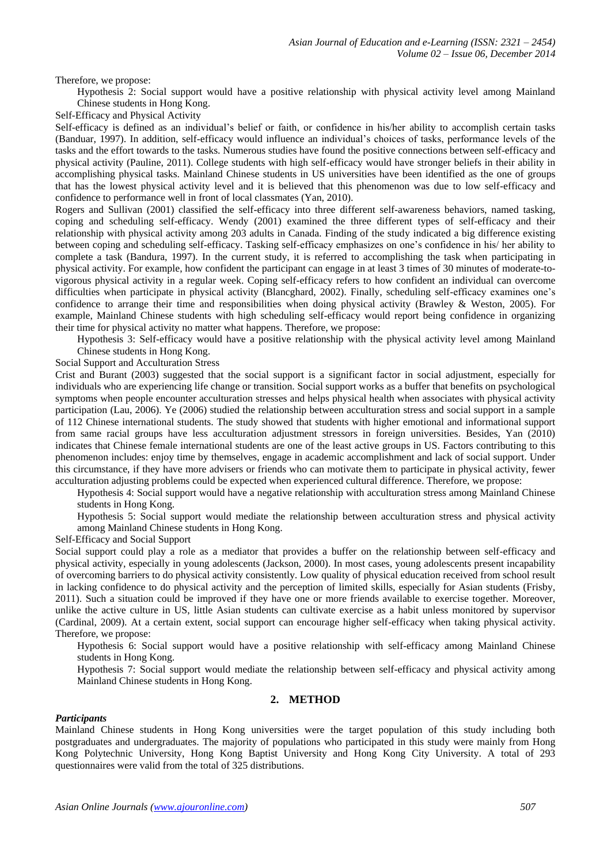Therefore, we propose:

Hypothesis 2: Social support would have a positive relationship with physical activity level among Mainland Chinese students in Hong Kong.

Self-Efficacy and Physical Activity

Self-efficacy is defined as an individual's belief or faith, or confidence in his/her ability to accomplish certain tasks (Banduar, 1997). In addition, self-efficacy would influence an individual's choices of tasks, performance levels of the tasks and the effort towards to the tasks. Numerous studies have found the positive connections between self-efficacy and physical activity (Pauline, 2011). College students with high self-efficacy would have stronger beliefs in their ability in accomplishing physical tasks. Mainland Chinese students in US universities have been identified as the one of groups that has the lowest physical activity level and it is believed that this phenomenon was due to low self-efficacy and confidence to performance well in front of local classmates (Yan, 2010).

Rogers and Sullivan (2001) classified the self-efficacy into three different self-awareness behaviors, named tasking, coping and scheduling self-efficacy. Wendy (2001) examined the three different types of self-efficacy and their relationship with physical activity among 203 adults in Canada. Finding of the study indicated a big difference existing between coping and scheduling self-efficacy. Tasking self-efficacy emphasizes on one's confidence in his/ her ability to complete a task (Bandura, 1997). In the current study, it is referred to accomplishing the task when participating in physical activity. For example, how confident the participant can engage in at least 3 times of 30 minutes of moderate-tovigorous physical activity in a regular week. Coping self-efficacy refers to how confident an individual can overcome difficulties when participate in physical activity (Blancghard, 2002). Finally, scheduling self-efficacy examines one's confidence to arrange their time and responsibilities when doing physical activity (Brawley & Weston, 2005). For example, Mainland Chinese students with high scheduling self-efficacy would report being confidence in organizing their time for physical activity no matter what happens. Therefore, we propose:

Hypothesis 3: Self-efficacy would have a positive relationship with the physical activity level among Mainland Chinese students in Hong Kong.

Social Support and Acculturation Stress

Crist and Burant (2003) suggested that the social support is a significant factor in social adjustment, especially for individuals who are experiencing life change or transition. Social support works as a buffer that benefits on psychological symptoms when people encounter acculturation stresses and helps physical health when associates with physical activity participation (Lau, 2006). Ye (2006) studied the relationship between acculturation stress and social support in a sample of 112 Chinese international students. The study showed that students with higher emotional and informational support from same racial groups have less acculturation adjustment stressors in foreign universities. Besides, Yan (2010) indicates that Chinese female international students are one of the least active groups in US. Factors contributing to this phenomenon includes: enjoy time by themselves, engage in academic accomplishment and lack of social support. Under this circumstance, if they have more advisers or friends who can motivate them to participate in physical activity, fewer acculturation adjusting problems could be expected when experienced cultural difference. Therefore, we propose:

Hypothesis 4: Social support would have a negative relationship with acculturation stress among Mainland Chinese students in Hong Kong.

Hypothesis 5: Social support would mediate the relationship between acculturation stress and physical activity among Mainland Chinese students in Hong Kong.

## Self-Efficacy and Social Support

Social support could play a role as a mediator that provides a buffer on the relationship between self-efficacy and physical activity, especially in young adolescents (Jackson, 2000). In most cases, young adolescents present incapability of overcoming barriers to do physical activity consistently. Low quality of physical education received from school result in lacking confidence to do physical activity and the perception of limited skills, especially for Asian students (Frisby, 2011). Such a situation could be improved if they have one or more friends available to exercise together. Moreover, unlike the active culture in US, little Asian students can cultivate exercise as a habit unless monitored by supervisor (Cardinal, 2009). At a certain extent, social support can encourage higher self-efficacy when taking physical activity. Therefore, we propose:

Hypothesis 6: Social support would have a positive relationship with self-efficacy among Mainland Chinese students in Hong Kong.

Hypothesis 7: Social support would mediate the relationship between self-efficacy and physical activity among Mainland Chinese students in Hong Kong.

## **2. METHOD**

#### *Participants*

Mainland Chinese students in Hong Kong universities were the target population of this study including both postgraduates and undergraduates. The majority of populations who participated in this study were mainly from Hong Kong Polytechnic University, Hong Kong Baptist University and Hong Kong City University. A total of 293 questionnaires were valid from the total of 325 distributions.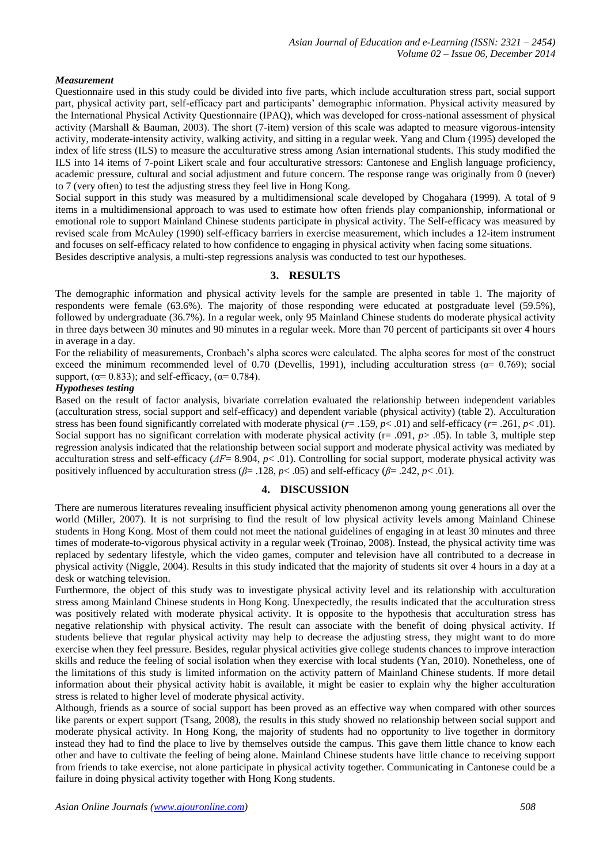## *Measurement*

Questionnaire used in this study could be divided into five parts, which include acculturation stress part, social support part, physical activity part, self-efficacy part and participants' demographic information. Physical activity measured by the International Physical Activity Questionnaire (IPAQ), which was developed for cross-national assessment of physical activity (Marshall & Bauman, 2003). The short (7-item) version of this scale was adapted to measure vigorous-intensity activity, moderate-intensity activity, walking activity, and sitting in a regular week. Yang and Clum (1995) developed the index of life stress (ILS) to measure the acculturative stress among Asian international students. This study modified the ILS into 14 items of 7-point Likert scale and four acculturative stressors: Cantonese and English language proficiency, academic pressure, cultural and social adjustment and future concern. The response range was originally from 0 (never) to 7 (very often) to test the adjusting stress they feel live in Hong Kong.

Social support in this study was measured by a multidimensional scale developed by Chogahara (1999). A total of 9 items in a multidimensional approach to was used to estimate how often friends play companionship, informational or emotional role to support Mainland Chinese students participate in physical activity. The Self-efficacy was measured by revised scale from McAuley (1990) self-efficacy barriers in exercise measurement, which includes a 12-item instrument and focuses on self-efficacy related to how confidence to engaging in physical activity when facing some situations. Besides descriptive analysis, a multi-step regressions analysis was conducted to test our hypotheses.

**3. RESULTS** 

The demographic information and physical activity levels for the sample are presented in table 1. The majority of respondents were female (63.6%). The majority of those responding were educated at postgraduate level (59.5%), followed by undergraduate (36.7%). In a regular week, only 95 Mainland Chinese students do moderate physical activity in three days between 30 minutes and 90 minutes in a regular week. More than 70 percent of participants sit over 4 hours in average in a day.

For the reliability of measurements, Cronbach's alpha scores were calculated. The alpha scores for most of the construct exceed the minimum recommended level of 0.70 (Devellis, 1991), including acculturation stress ( $\alpha$ = 0.769); social support,  $(\alpha = 0.833)$ ; and self-efficacy,  $(\alpha = 0.784)$ .

### *Hypotheses testing*

Based on the result of factor analysis, bivariate correlation evaluated the relationship between independent variables (acculturation stress, social support and self-efficacy) and dependent variable (physical activity) (table 2). Acculturation stress has been found significantly correlated with moderate physical  $(r = .159, p < .01)$  and self-efficacy  $(r = .261, p < .01)$ . Social support has no significant correlation with moderate physical activity ( $r = .091$ ,  $p > .05$ ). In table 3, multiple step regression analysis indicated that the relationship between social support and moderate physical activity was mediated by acculturation stress and self-efficacy  $(AF=8.904, p< .01)$ . Controlling for social support, moderate physical activity was positively influenced by acculturation stress ( $\beta$ = .128,  $p$ < .05) and self-efficacy ( $\beta$ = .242,  $p$ < .01).

# **4. DISCUSSION**

There are numerous literatures revealing insufficient physical activity phenomenon among young generations all over the world (Miller, 2007). It is not surprising to find the result of low physical activity levels among Mainland Chinese students in Hong Kong. Most of them could not meet the national guidelines of engaging in at least 30 minutes and three times of moderate-to-vigorous physical activity in a regular week (Troinao, 2008). Instead, the physical activity time was replaced by sedentary lifestyle, which the video games, computer and television have all contributed to a decrease in physical activity (Niggle, 2004). Results in this study indicated that the majority of students sit over 4 hours in a day at a desk or watching television.

Furthermore, the object of this study was to investigate physical activity level and its relationship with acculturation stress among Mainland Chinese students in Hong Kong. Unexpectedly, the results indicated that the acculturation stress was positively related with moderate physical activity. It is opposite to the hypothesis that acculturation stress has negative relationship with physical activity. The result can associate with the benefit of doing physical activity. If students believe that regular physical activity may help to decrease the adjusting stress, they might want to do more exercise when they feel pressure. Besides, regular physical activities give college students chances to improve interaction skills and reduce the feeling of social isolation when they exercise with local students (Yan, 2010). Nonetheless, one of the limitations of this study is limited information on the activity pattern of Mainland Chinese students. If more detail information about their physical activity habit is available, it might be easier to explain why the higher acculturation stress is related to higher level of moderate physical activity.

Although, friends as a source of social support has been proved as an effective way when compared with other sources like parents or expert support (Tsang, 2008), the results in this study showed no relationship between social support and moderate physical activity. In Hong Kong, the majority of students had no opportunity to live together in dormitory instead they had to find the place to live by themselves outside the campus. This gave them little chance to know each other and have to cultivate the feeling of being alone. Mainland Chinese students have little chance to receiving support from friends to take exercise, not alone participate in physical activity together. Communicating in Cantonese could be a failure in doing physical activity together with Hong Kong students.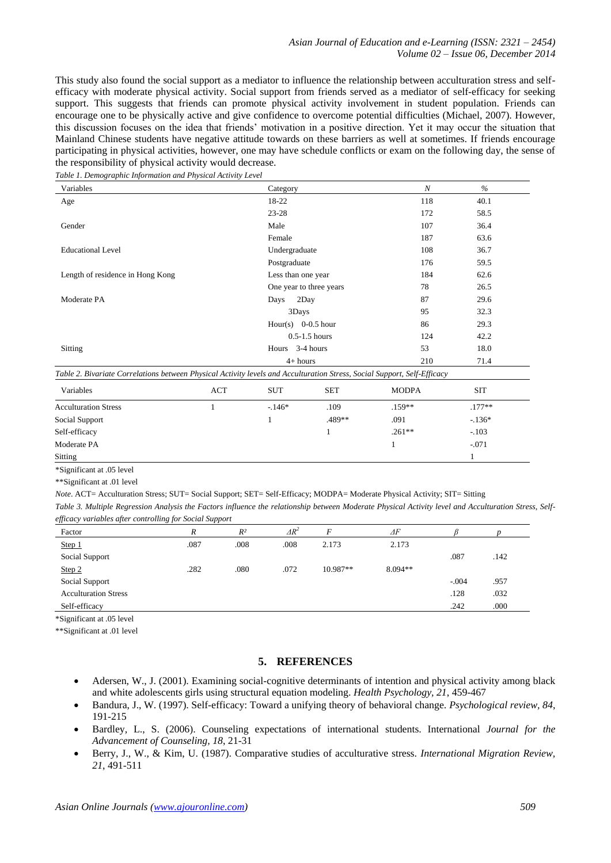This study also found the social support as a mediator to influence the relationship between acculturation stress and selfefficacy with moderate physical activity. Social support from friends served as a mediator of self-efficacy for seeking support. This suggests that friends can promote physical activity involvement in student population. Friends can encourage one to be physically active and give confidence to overcome potential difficulties (Michael, 2007). However, this discussion focuses on the idea that friends' motivation in a positive direction. Yet it may occur the situation that Mainland Chinese students have negative attitude towards on these barriers as well at sometimes. If friends encourage participating in physical activities, however, one may have schedule conflicts or exam on the following day, the sense of the responsibility of physical activity would decrease.

*Table 1. Demographic Information and Physical Activity Level*

| Variables                                                                                                                | Category    |                         | $\boldsymbol{N}$  | $\%$       |
|--------------------------------------------------------------------------------------------------------------------------|-------------|-------------------------|-------------------|------------|
| Age                                                                                                                      |             | 18-22                   | 118               | 40.1       |
|                                                                                                                          |             | $23 - 28$               | 172               | 58.5       |
| Gender                                                                                                                   | Male        |                         | 107               | 36.4       |
|                                                                                                                          |             | Female                  | 187               | 63.6       |
| <b>Educational Level</b>                                                                                                 |             | Undergraduate           | 108               | 36.7       |
|                                                                                                                          |             | Postgraduate            | 176               | 59.5       |
| Length of residence in Hong Kong                                                                                         |             | Less than one year      | 184               | 62.6       |
|                                                                                                                          |             | One year to three years | 78                | 26.5       |
| Moderate PA                                                                                                              | Days        | 2Day                    | 87                | 29.6       |
|                                                                                                                          |             | 3Days                   | 95                | 32.3       |
|                                                                                                                          |             | Hour(s) $0-0.5$ hour    | 86                | 29.3       |
|                                                                                                                          |             | $0.5 - 1.5$ hours       | 124               | 42.2       |
| Sitting                                                                                                                  |             | Hours 3-4 hours         | 53                | 18.0       |
|                                                                                                                          |             | $4+ hours$              | 210               | 71.4       |
| Table 2. Bivariate Correlations between Physical Activity levels and Acculturation Stress, Social Support, Self-Efficacy |             |                         |                   |            |
| <i>Morighlan</i><br>$\Lambda$ $CT$                                                                                       | <b>CITT</b> | CCT                     | MODD <sub>A</sub> | <b>CIT</b> |

| Variables                   | <b>ACT</b> | <b>SUT</b> | <b>SET</b> | <b>MODPA</b> | <b>SIT</b> |
|-----------------------------|------------|------------|------------|--------------|------------|
| <b>Acculturation Stress</b> |            | $-146*$    | .109       | $.159**$     | $.177**$   |
| Social Support              |            |            | .489**     | .091         | $-.136*$   |
| Self-efficacy               |            |            |            | $.261**$     | $-.103$    |
| Moderate PA                 |            |            |            |              | $-.071$    |
| Sitting                     |            |            |            |              |            |

\*Significant at .05 level

\*\*Significant at .01 level

*Note*. ACT= Acculturation Stress; SUT= Social Support; SET= Self-Efficacy; MODPA= Moderate Physical Activity; SIT= Sitting

*Table 3. Multiple Regression Analysis the Factors influence the relationship between Moderate Physical Activity level and Acculturation Stress, Selfefficacy variables after controlling for Social Support*

| Factor                      | R    | $R^2$ | $\Delta R^2$ | F        | $\Delta F$ |         |      |
|-----------------------------|------|-------|--------------|----------|------------|---------|------|
| Step 1                      | .087 | .008  | .008         | 2.173    | 2.173      |         |      |
| Social Support              |      |       |              |          |            | .087    | .142 |
| Step 2                      | .282 | .080  | .072         | 10.987** | $8.094**$  |         |      |
| Social Support              |      |       |              |          |            | $-.004$ | .957 |
| <b>Acculturation Stress</b> |      |       |              |          |            | .128    | .032 |
| Self-efficacy               |      |       |              |          |            | .242    | .000 |

\*Significant at .05 level

\*\*Significant at .01 level

## **5. REFERENCES**

- Adersen, W., J. (2001). Examining social-cognitive determinants of intention and physical activity among black and white adolescents girls using structural equation modeling. *Health Psychology, 21*, 459-467
- Bandura, J., W. (1997). Self-efficacy: Toward a unifying theory of behavioral change. *Psychological review, 84*, 191-215
- Bardley, L., S. (2006). Counseling expectations of international students. International *Journal for the Advancement of Counseling, 18*, 21-31
- Berry, J., W., & Kim, U. (1987). Comparative studies of acculturative stress. *International Migration Review, 21*, 491-511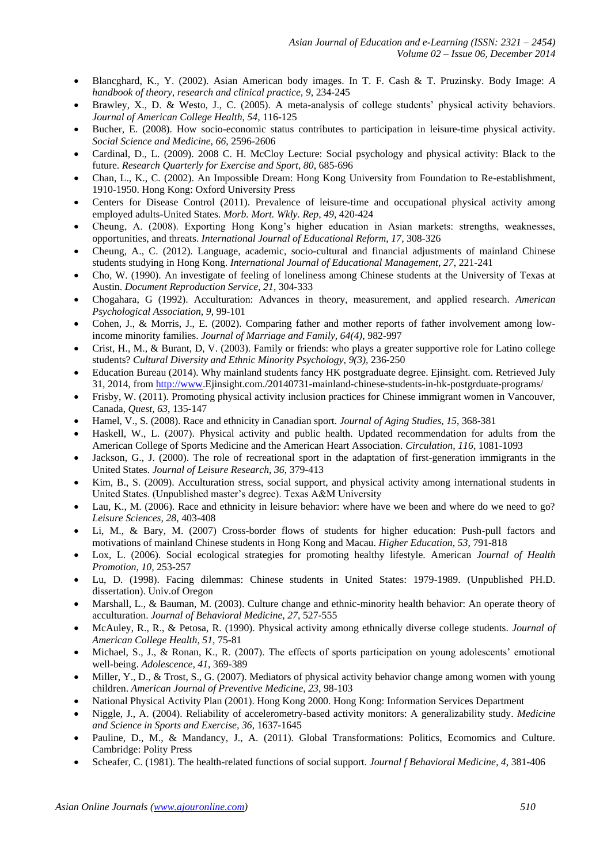- Blancghard, K., Y. (2002). Asian American body images. In T. F. Cash & T. Pruzinsky. Body Image: *A handbook of theory, research and clinical practice, 9*, 234-245
- Brawley, X., D. & Westo, J., C. (2005). A meta-analysis of college students' physical activity behaviors. *Journal of American College Health, 54*, 116-125
- Bucher, E. (2008). How socio-economic status contributes to participation in leisure-time physical activity. *Social Science and Medicine, 66*, 2596-2606
- Cardinal, D., L. (2009). 2008 C. H. McCloy Lecture: Social psychology and physical activity: Black to the future. *Research Quarterly for Exercise and Sport, 80*, 685-696
- Chan, L., K., C. (2002). An Impossible Dream: Hong Kong University from Foundation to Re-establishment, 1910-1950. Hong Kong: Oxford University Press
- Centers for Disease Control (2011). Prevalence of leisure-time and occupational physical activity among employed adults-United States. *Morb. Mort. Wkly. Rep, 49*, 420-424
- Cheung, A. (2008). Exporting Hong Kong's higher education in Asian markets: strengths, weaknesses, opportunities, and threats. *International Journal of Educational Reform, 17*, 308-326
- Cheung, A., C. (2012). Language, academic, socio-cultural and financial adjustments of mainland Chinese students studying in Hong Kong. *International Journal of Educational Management, 27*, 221-241
- Cho, W. (1990). An investigate of feeling of loneliness among Chinese students at the University of Texas at Austin. *Document Reproduction Service, 21*, 304-333
- Chogahara, G (1992). Acculturation: Advances in theory, measurement, and applied research. *American Psychological Association, 9*, 99-101
- Cohen, J., & Morris, J., E. (2002). Comparing father and mother reports of father involvement among lowincome minority families. *Journal of Marriage and Family, 64(4)*, 982-997
- Crist, H., M., & Burant, D, V. (2003). Family or friends: who plays a greater supportive role for Latino college students? *Cultural Diversity and Ethnic Minority Psychology, 9(3),* 236-250
- Education Bureau (2014). Why mainland students fancy HK postgraduate degree. Ejinsight. com. Retrieved July 31, 2014, from [http://www.](http://www/)Ejinsight.com./20140731-mainland-chinese-students-in-hk-postgrduate-programs/
- Frisby, W. (2011). Promoting physical activity inclusion practices for Chinese immigrant women in Vancouver, Canada, *Quest, 63*, 135-147
- Hamel, V., S. (2008). Race and ethnicity in Canadian sport. *Journal of Aging Studies, 15*, 368-381
- Haskell, W., L. (2007). Physical activity and public health. Updated recommendation for adults from the American College of Sports Medicine and the American Heart Association. *Circulation, 116,* 1081-1093
- Jackson, G., J. (2000). The role of recreational sport in the adaptation of first-generation immigrants in the United States. *Journal of Leisure Research, 36*, 379-413
- Kim, B., S. (2009). Acculturation stress, social support, and physical activity among international students in United States. (Unpublished master's degree). Texas A&M University
- Lau, K., M. (2006). Race and ethnicity in leisure behavior: where have we been and where do we need to go? *Leisure Sciences, 28*, 403-408
- Li, M., & Bary, M. (2007) Cross-border flows of students for higher education: Push-pull factors and motivations of mainland Chinese students in Hong Kong and Macau. *Higher Education, 53*, 791-818
- Lox, L. (2006). Social ecological strategies for promoting healthy lifestyle. American *Journal of Health Promotion, 10,* 253-257
- Lu, D. (1998). Facing dilemmas: Chinese students in United States: 1979-1989. (Unpublished PH.D. dissertation). Univ.of Oregon
- Marshall, L., & Bauman, M. (2003). Culture change and ethnic-minority health behavior: An operate theory of acculturation. *Journal of Behavioral Medicine, 27*, 527-555
- McAuley, R., R., & Petosa, R. (1990). Physical activity among ethnically diverse college students. *Journal of American College Health, 51*, 75-81
- Michael, S., J., & Ronan, K., R. (2007). The effects of sports participation on young adolescents' emotional well-being. *Adolescence, 41*, 369-389
- Miller, Y., D., & Trost, S., G. (2007). Mediators of physical activity behavior change among women with young children. *American Journal of Preventive Medicine, 23*, 98-103
- National Physical Activity Plan (2001). Hong Kong 2000. Hong Kong: Information Services Department
- Niggle, J., A. (2004). Reliability of accelerometry-based activity monitors: A generalizability study. *Medicine and Science in Sports and Exercise, 36*, 1637-1645
- Pauline, D., M., & Mandancy, J., A. (2011). Global Transformations: Politics, Ecomomics and Culture. Cambridge: Polity Press
- Scheafer, C. (1981). The health-related functions of social support. *Journal f Behavioral Medicine, 4*, 381-406